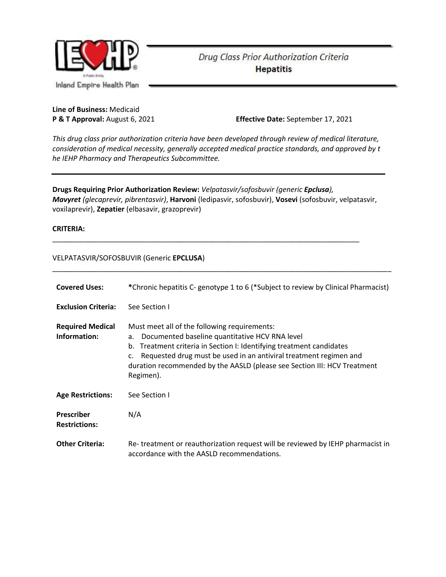

# Drug Class Prior Authorization Criteria **Hepatitis**

**Line of Business:** Medicaid

**P & T Approval:** August 6, 2021 **Effective Date:** September 17, 2021

*This drug class prior authorization criteria have been developed through review of medical literature, consideration of medical necessity, generally accepted medical practice standards, and approved by t he IEHP Pharmacy and Therapeutics Subcommittee.*

**Drugs Requiring Prior Authorization Review:** *Velpatasvir/sofosbuvir (generic Epclusa), Mavyret (glecaprevir, pibrentasvir)*, **Harvoni** (ledipasvir, sofosbuvir), **Vosevi** (sofosbuvir, velpatasvir, voxilaprevir), **Zepatier** (elbasavir, grazoprevir)

\_\_\_\_\_\_\_\_\_\_\_\_\_\_\_\_\_\_\_\_\_\_\_\_\_\_\_\_\_\_\_\_\_\_\_\_\_\_\_\_\_\_\_\_\_\_\_\_\_\_\_\_\_\_\_\_\_\_\_\_\_\_\_\_\_\_\_\_\_\_\_\_\_\_\_\_\_

#### **CRITERIA:**

#### VELPATASVIR/SOFOSBUVIR (Generic **EPCLUSA**)

| <b>Covered Uses:</b>                      | *Chronic hepatitis C- genotype 1 to 6 (*Subject to review by Clinical Pharmacist)                                                                                                                                                                                                                                                                   |
|-------------------------------------------|-----------------------------------------------------------------------------------------------------------------------------------------------------------------------------------------------------------------------------------------------------------------------------------------------------------------------------------------------------|
| <b>Exclusion Criteria:</b>                | See Section I                                                                                                                                                                                                                                                                                                                                       |
| <b>Required Medical</b><br>Information:   | Must meet all of the following requirements:<br>Documented baseline quantitative HCV RNA level<br>а.<br>Treatment criteria in Section I: Identifying treatment candidates<br>b.<br>Requested drug must be used in an antiviral treatment regimen and<br>c.<br>duration recommended by the AASLD (please see Section III: HCV Treatment<br>Regimen). |
| <b>Age Restrictions:</b>                  | See Section I                                                                                                                                                                                                                                                                                                                                       |
| <b>Prescriber</b><br><b>Restrictions:</b> | N/A                                                                                                                                                                                                                                                                                                                                                 |
| <b>Other Criteria:</b>                    | Re-treatment or reauthorization request will be reviewed by IEHP pharmacist in<br>accordance with the AASLD recommendations.                                                                                                                                                                                                                        |

\_\_\_\_\_\_\_\_\_\_\_\_\_\_\_\_\_\_\_\_\_\_\_\_\_\_\_\_\_\_\_\_\_\_\_\_\_\_\_\_\_\_\_\_\_\_\_\_\_\_\_\_\_\_\_\_\_\_\_\_\_\_\_\_\_\_\_\_\_\_\_\_\_\_\_\_\_\_\_\_\_\_\_\_\_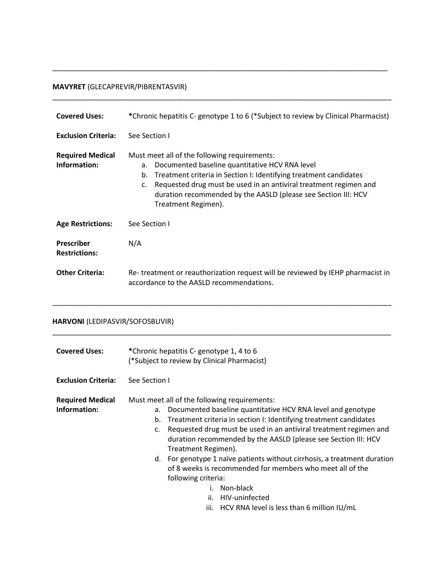## **MAVYRET** (GLECAPREVIR/PIBRENTASVIR)

| <b>Covered Uses:</b>                      | *Chronic hepatitis C- genotype 1 to 6 (*Subject to review by Clinical Pharmacist)                                                                                                                                                                                                                                                                               |
|-------------------------------------------|-----------------------------------------------------------------------------------------------------------------------------------------------------------------------------------------------------------------------------------------------------------------------------------------------------------------------------------------------------------------|
| <b>Exclusion Criteria:</b>                | See Section I                                                                                                                                                                                                                                                                                                                                                   |
| <b>Required Medical</b><br>Information:   | Must meet all of the following requirements:<br>Documented baseline quantitative HCV RNA level<br>a.<br>Treatment criteria in Section I: Identifying treatment candidates<br>b.<br>Requested drug must be used in an antiviral treatment regimen and<br>$\mathsf{C}$ .<br>duration recommended by the AASLD (please see Section III: HCV<br>Treatment Regimen). |
| <b>Age Restrictions:</b>                  | See Section L                                                                                                                                                                                                                                                                                                                                                   |
| <b>Prescriber</b><br><b>Restrictions:</b> | N/A                                                                                                                                                                                                                                                                                                                                                             |
| <b>Other Criteria:</b>                    | Re-treatment or reauthorization request will be reviewed by IEHP pharmacist in<br>accordance to the AASLD recommendations.                                                                                                                                                                                                                                      |

\_\_\_\_\_\_\_\_\_\_\_\_\_\_\_\_\_\_\_\_\_\_\_\_\_\_\_\_\_\_\_\_\_\_\_\_\_\_\_\_\_\_\_\_\_\_\_\_\_\_\_\_\_\_\_\_\_\_\_\_\_\_\_\_\_\_\_\_\_\_\_\_\_\_\_\_\_\_\_\_\_\_\_\_\_

\_\_\_\_\_\_\_\_\_\_\_\_\_\_\_\_\_\_\_\_\_\_\_\_\_\_\_\_\_\_\_\_\_\_\_\_\_\_\_\_\_\_\_\_\_\_\_\_\_\_\_\_\_\_\_\_\_\_\_\_\_\_\_\_\_\_\_\_\_\_\_\_\_\_\_\_\_\_\_\_\_\_\_\_

\_\_\_\_\_\_\_\_\_\_\_\_\_\_\_\_\_\_\_\_\_\_\_\_\_\_\_\_\_\_\_\_\_\_\_\_\_\_\_\_\_\_\_\_\_\_\_\_\_\_\_\_\_\_\_\_\_\_\_\_\_\_\_\_\_\_\_\_\_\_\_\_\_\_\_\_\_\_\_\_\_\_\_\_\_

# **HARVONI** (LEDIPASVIR/SOFOSBUVIR)

| <b>Covered Uses:</b>                    | *Chronic hepatitis C- genotype 1, 4 to 6<br>(*Subject to review by Clinical Pharmacist)                                                                                                                                                                                                                                                                          |  |  |
|-----------------------------------------|------------------------------------------------------------------------------------------------------------------------------------------------------------------------------------------------------------------------------------------------------------------------------------------------------------------------------------------------------------------|--|--|
| <b>Exclusion Criteria:</b>              | See Section I                                                                                                                                                                                                                                                                                                                                                    |  |  |
| <b>Required Medical</b><br>Information: | Must meet all of the following requirements:<br>Documented baseline quantitative HCV RNA level and genotype<br>а.<br>Treatment criteria in section I: Identifying treatment candidates<br>b.<br>Requested drug must be used in an antiviral treatment regimen and<br>c.<br>duration recommended by the AASLD (please see Section III: HCV<br>Treatment Regimen). |  |  |
|                                         | d. For genotype 1 naïve patients without cirrhosis, a treatment duration<br>of 8 weeks is recommended for members who meet all of the<br>following criteria:<br>i. Non-black<br>ii.<br>HIV-uninfected<br>LUCV DALA Lough is Loss those Custiliant ULL (mal                                                                                                       |  |  |

iii. HCV RNA level is less than 6 million IU/mL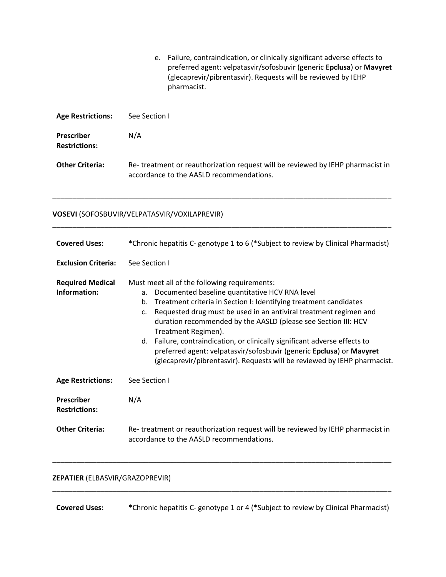|                                           | e. Failure, contraindication, or clinically significant adverse effects to<br>preferred agent: velpatasvir/sofosbuvir (generic Epclusa) or Mavyret<br>(glecaprevir/pibrentasvir). Requests will be reviewed by IEHP<br>pharmacist. |
|-------------------------------------------|------------------------------------------------------------------------------------------------------------------------------------------------------------------------------------------------------------------------------------|
| <b>Age Restrictions:</b>                  | See Section I                                                                                                                                                                                                                      |
| <b>Prescriber</b><br><b>Restrictions:</b> | N/A                                                                                                                                                                                                                                |
| <b>Other Criteria:</b>                    | Re-treatment or reauthorization request will be reviewed by IEHP pharmacist in<br>accordance to the AASLD recommendations.                                                                                                         |

\_\_\_\_\_\_\_\_\_\_\_\_\_\_\_\_\_\_\_\_\_\_\_\_\_\_\_\_\_\_\_\_\_\_\_\_\_\_\_\_\_\_\_\_\_\_\_\_\_\_\_\_\_\_\_\_\_\_\_\_\_\_\_\_\_\_\_\_\_\_\_\_\_\_\_\_\_\_\_\_\_\_\_\_\_

\_\_\_\_\_\_\_\_\_\_\_\_\_\_\_\_\_\_\_\_\_\_\_\_\_\_\_\_\_\_\_\_\_\_\_\_\_\_\_\_\_\_\_\_\_\_\_\_\_\_\_\_\_\_\_\_\_\_\_\_\_\_\_\_\_\_\_\_\_\_\_\_\_\_\_\_\_\_\_\_\_\_\_\_\_

# **VOSEVI** (SOFOSBUVIR/VELPATASVIR/VOXILAPREVIR)

| <b>Covered Uses:</b>                    | *Chronic hepatitis C- genotype 1 to 6 (*Subject to review by Clinical Pharmacist)                                                                                                                                                                                                                                                                                                                                                                                                                                                                                                                     |  |  |
|-----------------------------------------|-------------------------------------------------------------------------------------------------------------------------------------------------------------------------------------------------------------------------------------------------------------------------------------------------------------------------------------------------------------------------------------------------------------------------------------------------------------------------------------------------------------------------------------------------------------------------------------------------------|--|--|
| <b>Exclusion Criteria:</b>              | See Section I                                                                                                                                                                                                                                                                                                                                                                                                                                                                                                                                                                                         |  |  |
| <b>Required Medical</b><br>Information: | Must meet all of the following requirements:<br>Documented baseline quantitative HCV RNA level<br>a.<br>Treatment criteria in Section I: Identifying treatment candidates<br>b.<br>Requested drug must be used in an antiviral treatment regimen and<br>$\mathsf{C}$ .<br>duration recommended by the AASLD (please see Section III: HCV<br>Treatment Regimen).<br>Failure, contraindication, or clinically significant adverse effects to<br>d.<br>preferred agent: velpatasvir/sofosbuvir (generic Epclusa) or Mavyret<br>(glecaprevir/pibrentasvir). Requests will be reviewed by IEHP pharmacist. |  |  |
| <b>Age Restrictions:</b>                | See Section I                                                                                                                                                                                                                                                                                                                                                                                                                                                                                                                                                                                         |  |  |
| Prescriber<br><b>Restrictions:</b>      | N/A                                                                                                                                                                                                                                                                                                                                                                                                                                                                                                                                                                                                   |  |  |
| <b>Other Criteria:</b>                  | Re-treatment or reauthorization request will be reviewed by IEHP pharmacist in<br>accordance to the AASLD recommendations.                                                                                                                                                                                                                                                                                                                                                                                                                                                                            |  |  |

# **ZEPATIER** (ELBASVIR/GRAZOPREVIR)

**Covered Uses: \***Chronic hepatitis C- genotype 1 or 4 (\*Subject to review by Clinical Pharmacist)

\_\_\_\_\_\_\_\_\_\_\_\_\_\_\_\_\_\_\_\_\_\_\_\_\_\_\_\_\_\_\_\_\_\_\_\_\_\_\_\_\_\_\_\_\_\_\_\_\_\_\_\_\_\_\_\_\_\_\_\_\_\_\_\_\_\_\_\_\_\_\_\_\_\_\_\_\_\_\_\_\_\_\_\_\_

\_\_\_\_\_\_\_\_\_\_\_\_\_\_\_\_\_\_\_\_\_\_\_\_\_\_\_\_\_\_\_\_\_\_\_\_\_\_\_\_\_\_\_\_\_\_\_\_\_\_\_\_\_\_\_\_\_\_\_\_\_\_\_\_\_\_\_\_\_\_\_\_\_\_\_\_\_\_\_\_\_\_\_\_\_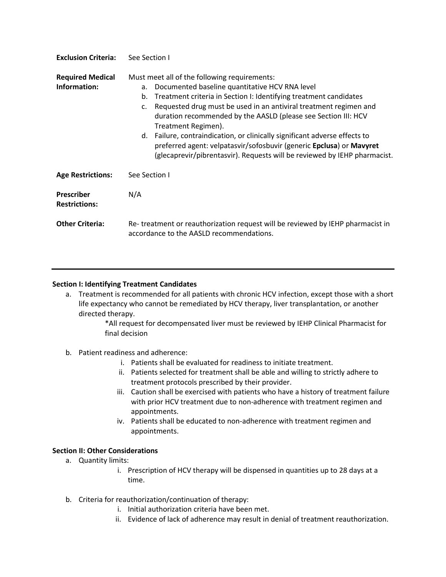| <b>Exclusion Criteria:</b>                | See Section I                                                                                                                                                                                                                                                                                                                                                                                                                                                                                                                                                                          |
|-------------------------------------------|----------------------------------------------------------------------------------------------------------------------------------------------------------------------------------------------------------------------------------------------------------------------------------------------------------------------------------------------------------------------------------------------------------------------------------------------------------------------------------------------------------------------------------------------------------------------------------------|
| <b>Required Medical</b><br>Information:   | Must meet all of the following requirements:<br>Documented baseline quantitative HCV RNA level<br>а.<br>Treatment criteria in Section I: Identifying treatment candidates<br>b.<br>Requested drug must be used in an antiviral treatment regimen and<br>C.<br>duration recommended by the AASLD (please see Section III: HCV<br>Treatment Regimen).<br>d. Failure, contraindication, or clinically significant adverse effects to<br>preferred agent: velpatasvir/sofosbuvir (generic Epclusa) or Mavyret<br>(glecaprevir/pibrentasvir). Requests will be reviewed by IEHP pharmacist. |
| <b>Age Restrictions:</b>                  | See Section I                                                                                                                                                                                                                                                                                                                                                                                                                                                                                                                                                                          |
| <b>Prescriber</b><br><b>Restrictions:</b> | N/A                                                                                                                                                                                                                                                                                                                                                                                                                                                                                                                                                                                    |
| <b>Other Criteria:</b>                    | Re-treatment or reauthorization request will be reviewed by IEHP pharmacist in<br>accordance to the AASLD recommendations.                                                                                                                                                                                                                                                                                                                                                                                                                                                             |

#### **Section I: Identifying Treatment Candidates**

a. Treatment is recommended for all patients with chronic HCV infection, except those with a short life expectancy who cannot be remediated by HCV therapy, liver transplantation, or another directed therapy.

> \*All request for decompensated liver must be reviewed by IEHP Clinical Pharmacist for final decision

### b. Patient readiness and adherence:

- i. Patients shall be evaluated for readiness to initiate treatment.
- ii. Patients selected for treatment shall be able and willing to strictly adhere to treatment protocols prescribed by their provider.
- iii. Caution shall be exercised with patients who have a history of treatment failure with prior HCV treatment due to non-adherence with treatment regimen and appointments.
- iv. Patients shall be educated to non-adherence with treatment regimen and appointments.

#### **Section II: Other Considerations**

- a. Quantity limits:
	- i. Prescription of HCV therapy will be dispensed in quantities up to 28 days at a time.
- b. Criteria for reauthorization/continuation of therapy:
	- i. Initial authorization criteria have been met.
	- ii. Evidence of lack of adherence may result in denial of treatment reauthorization.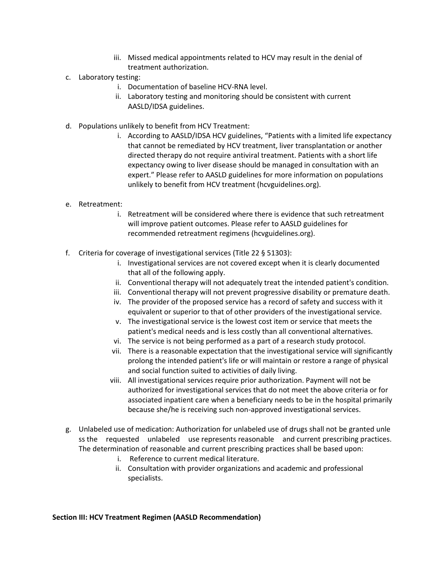- iii. Missed medical appointments related to HCV may result in the denial of treatment authorization.
- c. Laboratory testing:
	- i. Documentation of baseline HCV-RNA level.
	- ii. Laboratory testing and monitoring should be consistent with current AASLD/IDSA guidelines.
- d. Populations unlikely to benefit from HCV Treatment:
	- i. According to AASLD/IDSA HCV guidelines, "Patients with a limited life expectancy that cannot be remediated by HCV treatment, liver transplantation or another directed therapy do not require antiviral treatment. Patients with a short life expectancy owing to liver disease should be managed in consultation with an expert." Please refer to AASLD guidelines for more information on populations unlikely to benefit from HCV treatment (hcvguidelines.org).
- e. Retreatment:
	- i. Retreatment will be considered where there is evidence that such retreatment will improve patient outcomes. Please refer to AASLD guidelines for recommended retreatment regimens (hcvguidelines.org).
- f. Criteria for coverage of investigational services (Title 22 § 51303):
	- i. Investigational services are not covered except when it is clearly documented that all of the following apply.
	- ii. Conventional therapy will not adequately treat the intended patient's condition.
	- iii. Conventional therapy will not prevent progressive disability or premature death.
	- iv. The provider of the proposed service has a record of safety and success with it equivalent or superior to that of other providers of the investigational service.
	- v. The investigational service is the lowest cost item or service that meets the patient's medical needs and is less costly than all conventional alternatives.
	- vi. The service is not being performed as a part of a research study protocol.
	- vii. There is a reasonable expectation that the investigational service will significantly prolong the intended patient's life or will maintain or restore a range of physical and social function suited to activities of daily living.
	- viii. All investigational services require prior authorization. Payment will not be authorized for investigational services that do not meet the above criteria or for associated inpatient care when a beneficiary needs to be in the hospital primarily because she/he is receiving such non-approved investigational services.
- g. Unlabeled use of medication: Authorization for unlabeled use of drugs shall not be granted unle ss the requested unlabeled use represents reasonable and current prescribing practices. The determination of reasonable and current prescribing practices shall be based upon:
	- i. Reference to current medical literature.
	- ii. Consultation with provider organizations and academic and professional specialists.

#### **Section III: HCV Treatment Regimen (AASLD Recommendation)**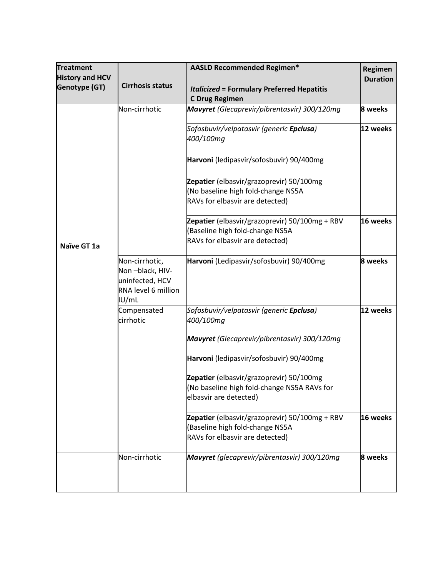| <b>Treatment</b><br><b>History and HCV</b><br><b>Genotype (GT)</b> | <b>Cirrhosis status</b>                                                              | <b>AASLD Recommended Regimen*</b><br><b>Italicized = Formulary Preferred Hepatitis</b>                               | Regimen<br><b>Duration</b> |
|--------------------------------------------------------------------|--------------------------------------------------------------------------------------|----------------------------------------------------------------------------------------------------------------------|----------------------------|
|                                                                    | Non-cirrhotic                                                                        | <b>C Drug Regimen</b><br>Mavyret (Glecaprevir/pibrentasvir) 300/120mg                                                | 8 weeks                    |
|                                                                    |                                                                                      | Sofosbuvir/velpatasvir (generic <b>Epclusa</b> )<br>400/100mg                                                        | 12 weeks                   |
|                                                                    |                                                                                      | Harvoni (ledipasvir/sofosbuvir) 90/400mg                                                                             |                            |
|                                                                    |                                                                                      | Zepatier (elbasvir/grazoprevir) 50/100mg<br>(No baseline high fold-change NS5A<br>RAVs for elbasvir are detected)    |                            |
| Naïve GT 1a                                                        |                                                                                      | Zepatier (elbasvir/grazoprevir) 50/100mg + RBV<br>(Baseline high fold-change NS5A<br>RAVs for elbasvir are detected) | 16 weeks                   |
|                                                                    | Non-cirrhotic,<br>Non-black, HIV-<br>uninfected, HCV<br>RNA level 6 million<br>IU/mL | Harvoni (Ledipasvir/sofosbuvir) 90/400mg                                                                             | 8 weeks                    |
|                                                                    | Compensated<br>cirrhotic                                                             | Sofosbuvir/velpatasvir (generic <b>Epclusa</b> )<br>400/100mg                                                        | 12 weeks                   |
|                                                                    |                                                                                      | Mavyret (Glecaprevir/pibrentasvir) 300/120mg                                                                         |                            |
|                                                                    |                                                                                      | Harvoni (ledipasvir/sofosbuvir) 90/400mg                                                                             |                            |
|                                                                    |                                                                                      | Zepatier (elbasvir/grazoprevir) 50/100mg<br>(No baseline high fold-change NS5A RAVs for<br>elbasvir are detected)    |                            |
|                                                                    |                                                                                      | Zepatier (elbasvir/grazoprevir) 50/100mg + RBV<br>(Baseline high fold-change NS5A<br>RAVs for elbasvir are detected) | 16 weeks                   |
|                                                                    | Non-cirrhotic                                                                        | Mavyret (glecaprevir/pibrentasvir) 300/120mg                                                                         | 8 weeks                    |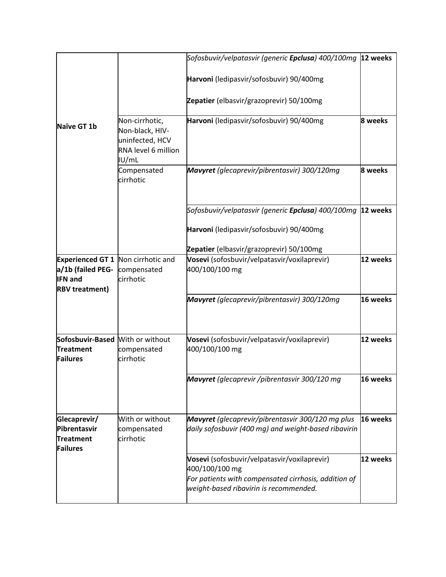|                                                                                                           |                                                                                      | Sofosbuvir/velpatasvir (generic Epclusa) 400/100mg 12 weeks                                                                                                      |          |
|-----------------------------------------------------------------------------------------------------------|--------------------------------------------------------------------------------------|------------------------------------------------------------------------------------------------------------------------------------------------------------------|----------|
|                                                                                                           |                                                                                      | Harvoni (ledipasvir/sofosbuvir) 90/400mg                                                                                                                         |          |
|                                                                                                           |                                                                                      | Zepatier (elbasvir/grazoprevir) 50/100mg                                                                                                                         |          |
| Naïve GT 1b                                                                                               | Non-cirrhotic,<br>Non-black, HIV-<br>uninfected, HCV<br>RNA level 6 million<br>IU/mL | Harvoni (ledipasvir/sofosbuvir) 90/400mg                                                                                                                         | 8 weeks  |
|                                                                                                           | Compensated<br>cirrhotic                                                             | Mavyret (glecaprevir/pibrentasvir) 300/120mg                                                                                                                     | 8 weeks  |
|                                                                                                           |                                                                                      | Sofosbuvir/velpatasvir (generic <b>Epclusa</b> ) 400/100mg                                                                                                       | 12 weeks |
|                                                                                                           |                                                                                      | Harvoni (ledipasvir/sofosbuvir) 90/400mg                                                                                                                         |          |
|                                                                                                           |                                                                                      | Zepatier (elbasvir/grazoprevir) 50/100mg                                                                                                                         |          |
| <b>Experienced GT 1 Non cirrhotic and</b><br>a/1b (failed PEG-<br><b>IFN</b> and<br><b>RBV</b> treatment) | compensated<br>cirrhotic                                                             | Vosevi (sofosbuvir/velpatasvir/voxilaprevir)<br>400/100/100 mg                                                                                                   | 12 weeks |
|                                                                                                           |                                                                                      | Mavyret (glecaprevir/pibrentasvir) 300/120mg                                                                                                                     | 16 weeks |
| Sofosbuvir-Based With or without<br><b>Treatment</b><br><b>Failures</b>                                   | compensated<br>cirrhotic                                                             | Vosevi (sofosbuvir/velpatasvir/voxilaprevir)<br>400/100/100 mg                                                                                                   | 12 weeks |
|                                                                                                           |                                                                                      | Mavyret (glecaprevir /pibrentasvir 300/120 mg                                                                                                                    | 16 weeks |
| Glecaprevir/<br>Pibrentasvir<br><b>Treatment</b><br><b>Failures</b>                                       | With or without<br>compensated<br>cirrhotic                                          | Mavyret (glecaprevir/pibrentasvir 300/120 mg plus<br>daily sofosbuvir (400 mg) and weight-based ribavirin                                                        | 16 weeks |
|                                                                                                           |                                                                                      | Vosevi (sofosbuvir/velpatasvir/voxilaprevir)<br>400/100/100 mg<br>For patients with compensated cirrhosis, addition of<br>weight-based ribavirin is recommended. | 12 weeks |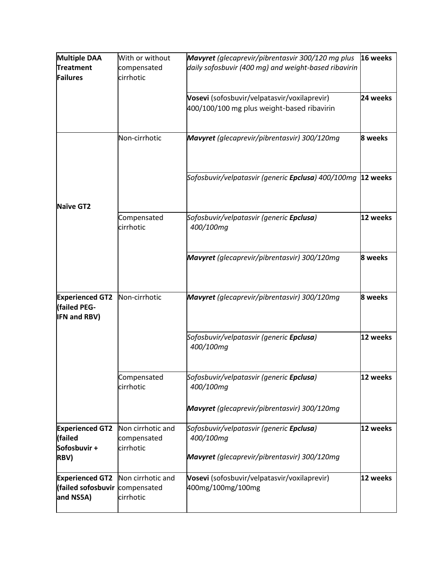| <b>Multiple DAA</b>                    | With or without                  | Mavyret (glecaprevir/pibrentasvir 300/120 mg plus            | 16 weeks |
|----------------------------------------|----------------------------------|--------------------------------------------------------------|----------|
| <b>Treatment</b>                       | compensated                      | daily sofosbuvir (400 mg) and weight-based ribavirin         |          |
| Failures                               | cirrhotic                        |                                                              |          |
|                                        |                                  | Vosevi (sofosbuvir/velpatasvir/voxilaprevir)                 | 24 weeks |
|                                        |                                  | 400/100/100 mg plus weight-based ribavirin                   |          |
|                                        |                                  |                                                              |          |
|                                        | Non-cirrhotic                    | Mavyret (glecaprevir/pibrentasvir) 300/120mg                 | 8 weeks  |
|                                        |                                  |                                                              |          |
|                                        |                                  |                                                              |          |
|                                        |                                  | Sofosbuvir/velpatasvir (generic Epclusa) 400/100mg  12 weeks |          |
| Naïve GT2                              |                                  |                                                              |          |
|                                        | Compensated                      | Sofosbuvir/velpatasvir (generic Epclusa)                     | 12 weeks |
|                                        | cirrhotic                        | 400/100mg                                                    |          |
|                                        |                                  |                                                              |          |
|                                        |                                  | Mavyret (glecaprevir/pibrentasvir) 300/120mg                 | 8 weeks  |
|                                        |                                  |                                                              |          |
|                                        |                                  |                                                              |          |
| <b>Experienced GT2</b><br>(failed PEG- | Non-cirrhotic                    | Mavyret (glecaprevir/pibrentasvir) 300/120mg                 | 8 weeks  |
| <b>IFN and RBV)</b>                    |                                  |                                                              |          |
|                                        |                                  | Sofosbuvir/velpatasvir (generic Epclusa)                     | 12 weeks |
|                                        |                                  | 400/100mg                                                    |          |
|                                        |                                  |                                                              |          |
|                                        | Compensated                      | Sofosbuvir/velpatasvir (generic <b>Epclusa</b> )             | 12 weeks |
|                                        | cirrhotic                        | 400/100mg                                                    |          |
|                                        |                                  | Mavyret (glecaprevir/pibrentasvir) 300/120mg                 |          |
|                                        |                                  |                                                              |          |
| <b>Experienced GT2</b><br>(failed      | Non cirrhotic and<br>compensated | Sofosbuvir/velpatasvir (generic Epclusa)<br>400/100mg        | 12 weeks |
| Sofosbuvir +                           | cirrhotic                        |                                                              |          |
| RBV)                                   |                                  | Mavyret (glecaprevir/pibrentasvir) 300/120mg                 |          |
| <b>Experienced GT2</b>                 | Non cirrhotic and                | Vosevi (sofosbuvir/velpatasvir/voxilaprevir)                 | 12 weeks |
| failed sofosbuvir compensated          |                                  | 400mg/100mg/100mg                                            |          |
| and NS5A)                              | cirrhotic                        |                                                              |          |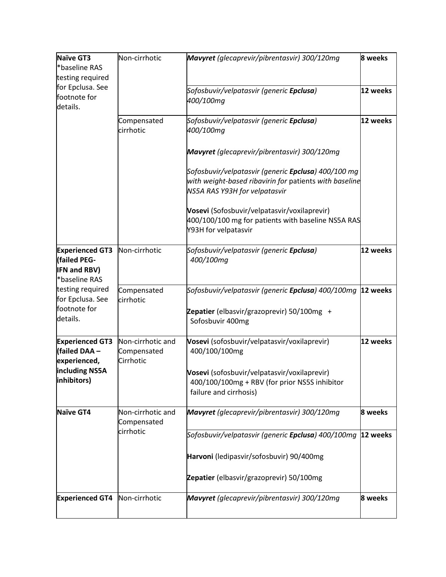| <b>Naïve GT3</b><br>*baseline RAS | Non-cirrhotic                    | Mavyret (glecaprevir/pibrentasvir) 300/120mg                                 | 8 weeks  |
|-----------------------------------|----------------------------------|------------------------------------------------------------------------------|----------|
| testing required                  |                                  |                                                                              |          |
| for Epclusa. See                  |                                  | Sofosbuvir/velpatasvir (generic Epclusa)                                     | 12 weeks |
| footnote for                      |                                  | 400/100mg                                                                    |          |
| details.                          |                                  |                                                                              |          |
|                                   | Compensated                      | Sofosbuvir/velpatasvir (generic <b>Epclusa</b> )                             | 12 weeks |
|                                   | cirrhotic                        | 400/100mg                                                                    |          |
|                                   |                                  |                                                                              |          |
|                                   |                                  | Mavyret (glecaprevir/pibrentasvir) 300/120mg                                 |          |
|                                   |                                  | Sofosbuvir/velpatasvir (generic <b>Epclusa</b> ) 400/100 mg                  |          |
|                                   |                                  | with weight-based ribavirin for patients with baseline                       |          |
|                                   |                                  | NS5A RAS Y93H for velpatasvir                                                |          |
|                                   |                                  | Vosevi (Sofosbuvir/velpatasvir/voxilaprevir)                                 |          |
|                                   |                                  | 400/100/100 mg for patients with baseline NS5A RAS                           |          |
|                                   |                                  | Y93H for velpatasvir                                                         |          |
|                                   |                                  |                                                                              |          |
| <b>Experienced GT3</b>            | Non-cirrhotic                    | Sofosbuvir/velpatasvir (generic Epclusa)                                     | 12 weeks |
| <b>(failed PEG-</b>               |                                  | 400/100mg                                                                    |          |
| <b>IFN and RBV)</b>               |                                  |                                                                              |          |
| *baseline RAS                     |                                  |                                                                              |          |
| testing required                  | Compensated                      | Sofosbuvir/velpatasvir (generic <b>Epclusa</b> ) 400/100mg   <b>12 weeks</b> |          |
| for Epclusa. See<br>footnote for  | cirrhotic                        |                                                                              |          |
| details.                          |                                  | Zepatier (elbasvir/grazoprevir) 50/100mg +                                   |          |
|                                   |                                  | Sofosbuvir 400mg                                                             |          |
| <b>Experienced GT3</b>            | Non-cirrhotic and                | Vosevi (sofosbuvir/velpatasvir/voxilaprevir)                                 | 12 weeks |
| (failed DAA -                     | Compensated                      | 400/100/100mg                                                                |          |
| experienced,                      | Cirrhotic                        |                                                                              |          |
| including NS5A                    |                                  | Vosevi (sofosbuvir/velpatasvir/voxilaprevir)                                 |          |
| inhibitors)                       |                                  | 400/100/100mg + RBV (for prior NS5S inhibitor                                |          |
|                                   |                                  | failure and cirrhosis)                                                       |          |
|                                   |                                  |                                                                              |          |
| Naïve GT4                         | Non-cirrhotic and<br>Compensated | Mavyret (glecaprevir/pibrentasvir) 300/120mg                                 | 8 weeks  |
|                                   | cirrhotic                        | Sofosbuvir/velpatasvir (generic Epclusa) 400/100mg 21 weeks                  |          |
|                                   |                                  |                                                                              |          |
|                                   |                                  | Harvoni (ledipasvir/sofosbuvir) 90/400mg                                     |          |
|                                   |                                  | Zepatier (elbasvir/grazoprevir) 50/100mg                                     |          |
| <b>Experienced GT4</b>            | Non-cirrhotic                    | Mavyret (glecaprevir/pibrentasvir) 300/120mg                                 | 8 weeks  |
|                                   |                                  |                                                                              |          |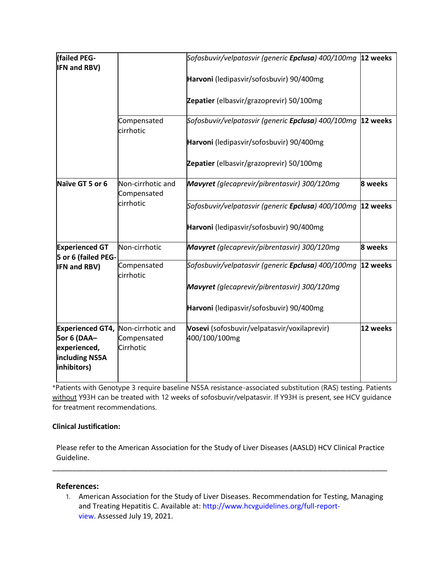| (failed PEG-<br><b>IFN and RBV)</b>                                                     |                                               | Sofosbuvir/velpatasvir (generic <b>Epclusa</b> ) 400/100mg   <b>12 weeks</b> |          |
|-----------------------------------------------------------------------------------------|-----------------------------------------------|------------------------------------------------------------------------------|----------|
|                                                                                         |                                               | Harvoni (ledipasvir/sofosbuvir) 90/400mg                                     |          |
|                                                                                         |                                               | Zepatier (elbasvir/grazoprevir) 50/100mg                                     |          |
|                                                                                         | Compensated<br>cirrhotic                      | Sofosbuvir/velpatasvir (generic <b>Epclusa</b> ) 400/100mg                   | 12 weeks |
|                                                                                         |                                               | Harvoni (ledipasvir/sofosbuvir) 90/400mg                                     |          |
|                                                                                         |                                               | Zepatier (elbasvir/grazoprevir) 50/100mg                                     |          |
| Naïve GT 5 or 6                                                                         | Non-cirrhotic and<br>Compensated              | Mavyret (glecaprevir/pibrentasvir) 300/120mg                                 | 8 weeks  |
|                                                                                         | cirrhotic                                     | Sofosbuvir/velpatasvir (generic Epclusa) 400/100mg 21 weeks                  |          |
|                                                                                         |                                               | Harvoni (ledipasvir/sofosbuvir) 90/400mg                                     |          |
| <b>Experienced GT</b><br>5 or 6 (failed PEG-<br><b>IFN and RBV)</b>                     | Non-cirrhotic                                 | Mavyret (glecaprevir/pibrentasvir) 300/120mg                                 | 8 weeks  |
|                                                                                         | Compensated<br>cirrhotic                      | Sofosbuvir/velpatasvir (generic <b>Epclusa</b> ) 400/100mg                   | 12 weeks |
|                                                                                         |                                               | Mavyret (glecaprevir/pibrentasvir) 300/120mg                                 |          |
|                                                                                         |                                               | Harvoni (ledipasvir/sofosbuvir) 90/400mg                                     |          |
| <b>Experienced GT4,</b><br>5or 6 (DAA-<br>experienced,<br>including NS5A<br>inhibitors) | Non-cirrhotic and<br>Compensated<br>Cirrhotic | Vosevi (sofosbuvir/velpatasvir/voxilaprevir)<br>400/100/100mg                | 12 weeks |

\*Patients with Genotype 3 require baseline NS5A resistance-associated substitution (RAS) testing. Patients without Y93H can be treated with 12 weeks of sofosbuvir/velpatasvir. If Y93H is present, see HCV guidance for treatment recommendations.

## **Clinical Justification:**

Please refer to the American Association for the Study of Liver Diseases (AASLD) HCV Clinical Practice Guideline.

\_\_\_\_\_\_\_\_\_\_\_\_\_\_\_\_\_\_\_\_\_\_\_\_\_\_\_\_\_\_\_\_\_\_\_\_\_\_\_\_\_\_\_\_\_\_\_\_\_\_\_\_\_\_\_\_\_\_\_\_\_\_\_\_\_\_\_\_\_\_\_\_\_\_\_\_\_\_\_\_\_\_\_\_

#### **References:**

1. American Association for the Study of Liver Diseases. Recommendation for Testing, Managing and Treating Hepatitis C. Available at: http://www.hcvguidelines.org/full-reportview. Assessed July 19, 2021.